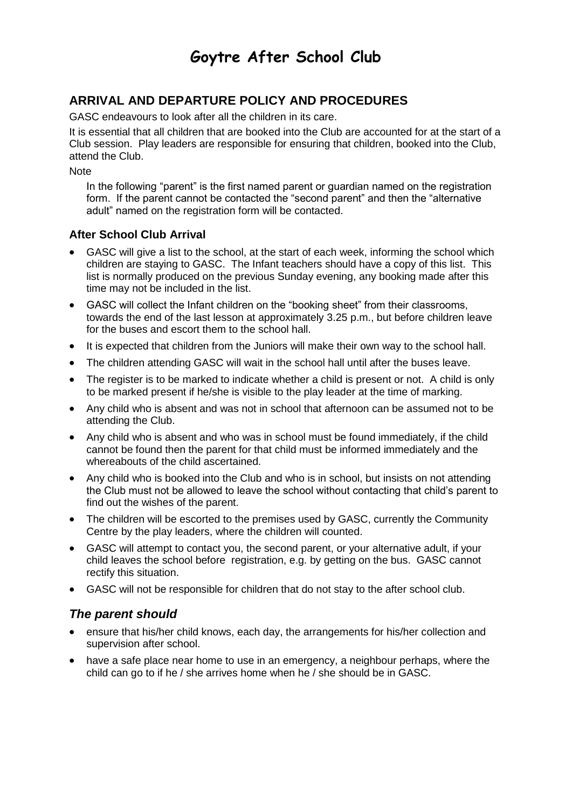# **Goytre After School Club**

## **ARRIVAL AND DEPARTURE POLICY AND PROCEDURES**

GASC endeavours to look after all the children in its care.

It is essential that all children that are booked into the Club are accounted for at the start of a Club session. Play leaders are responsible for ensuring that children, booked into the Club, attend the Club.

**Note** 

In the following "parent" is the first named parent or guardian named on the registration form. If the parent cannot be contacted the "second parent" and then the "alternative adult" named on the registration form will be contacted.

### **After School Club Arrival**

- GASC will give a list to the school, at the start of each week, informing the school which children are staying to GASC. The Infant teachers should have a copy of this list. This list is normally produced on the previous Sunday evening, any booking made after this time may not be included in the list.
- GASC will collect the Infant children on the "booking sheet" from their classrooms, towards the end of the last lesson at approximately 3.25 p.m., but before children leave for the buses and escort them to the school hall.
- It is expected that children from the Juniors will make their own way to the school hall.
- The children attending GASC will wait in the school hall until after the buses leave.
- The register is to be marked to indicate whether a child is present or not. A child is only to be marked present if he/she is visible to the play leader at the time of marking.
- Any child who is absent and was not in school that afternoon can be assumed not to be attending the Club.
- Any child who is absent and who was in school must be found immediately, if the child cannot be found then the parent for that child must be informed immediately and the whereabouts of the child ascertained.
- Any child who is booked into the Club and who is in school, but insists on not attending the Club must not be allowed to leave the school without contacting that child's parent to find out the wishes of the parent.
- The children will be escorted to the premises used by GASC, currently the Community Centre by the play leaders, where the children will counted.
- GASC will attempt to contact you, the second parent, or your alternative adult, if your child leaves the school before registration, e.g. by getting on the bus. GASC cannot rectify this situation.
- GASC will not be responsible for children that do not stay to the after school club.

## *The parent should*

- ensure that his/her child knows, each day, the arrangements for his/her collection and supervision after school.
- have a safe place near home to use in an emergency, a neighbour perhaps, where the child can go to if he / she arrives home when he / she should be in GASC.